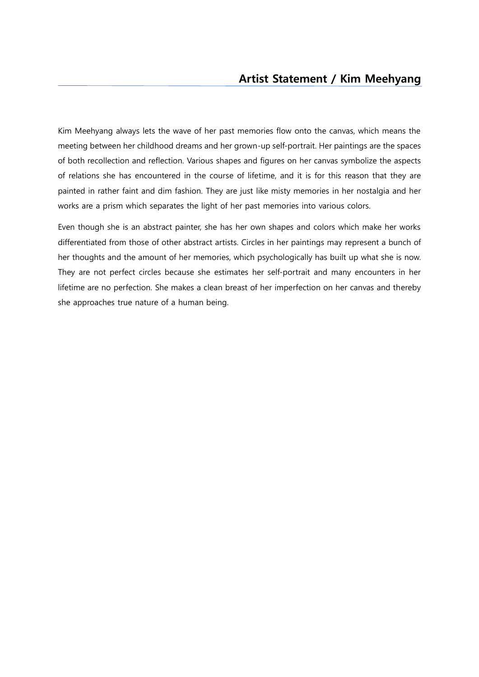Kim Meehyang always lets the wave of her past memories flow onto the canvas, which means the meeting between her childhood dreams and her grown-up self-portrait. Her paintings are the spaces of both recollection and reflection. Various shapes and figures on her canvas symbolize the aspects of relations she has encountered in the course of lifetime, and it is for this reason that they are painted in rather faint and dim fashion. They are just like misty memories in her nostalgia and her works are a prism which separates the light of her past memories into various colors.

Even though she is an abstract painter, she has her own shapes and colors which make her works differentiated from those of other abstract artists. Circles in her paintings may represent a bunch of her thoughts and the amount of her memories, which psychologically has built up what she is now. They are not perfect circles because she estimates her self-portrait and many encounters in her lifetime are no perfection. She makes a clean breast of her imperfection on her canvas and thereby she approaches true nature of a human being.